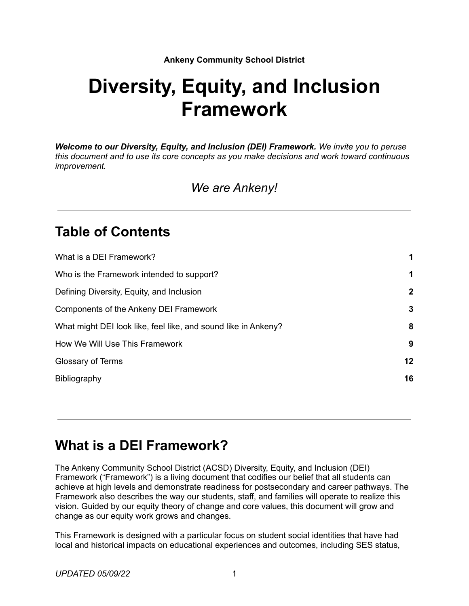### **Ankeny Community School District**

# **Diversity, Equity, and Inclusion Framework**

*Welcome to our Diversity, Equity, and Inclusion (DEI) Framework. We invite you to peruse this document and to use its core concepts as you make decisions and work toward continuous improvement.*

*We are Ankeny!*

## **Table of Contents**

| What is a DEI Framework?                                                                                                                              | 1<br>$\mathbf 1$<br>$\mathbf{2}$<br>3<br>8<br>9 |                                |
|-------------------------------------------------------------------------------------------------------------------------------------------------------|-------------------------------------------------|--------------------------------|
| Who is the Framework intended to support?                                                                                                             |                                                 |                                |
| Defining Diversity, Equity, and Inclusion<br>Components of the Ankeny DEI Framework<br>What might DEI look like, feel like, and sound like in Ankeny? |                                                 |                                |
|                                                                                                                                                       |                                                 | How We Will Use This Framework |
|                                                                                                                                                       |                                                 | Glossary of Terms              |
| Bibliography                                                                                                                                          |                                                 | 16                             |

# <span id="page-0-0"></span>**What is a DEI Framework?**

The Ankeny Community School District (ACSD) Diversity, Equity, and Inclusion (DEI) Framework ("Framework") is a living document that codifies our belief that all students can achieve at high levels and demonstrate readiness for postsecondary and career pathways. The Framework also describes the way our students, staff, and families will operate to realize this vision. Guided by our equity theory of change and core values, this document will grow and change as our equity work grows and changes.

This Framework is designed with a particular focus on student social identities that have had local and historical impacts on educational experiences and outcomes, including SES status,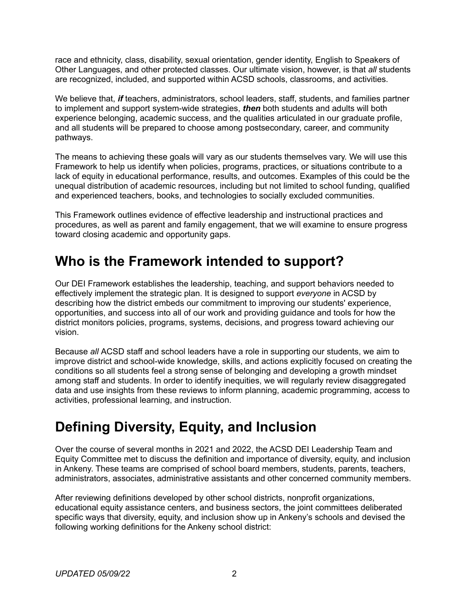race and ethnicity, class, disability, sexual orientation, gender identity, English to Speakers of Other Languages, and other protected classes. Our ultimate vision, however, is that *all* students are recognized, included, and supported within ACSD schools, classrooms, and activities.

We believe that, *if* teachers, administrators, school leaders, staff, students, and families partner to implement and support system-wide strategies, *then* both students and adults will both experience belonging, academic success, and the qualities articulated in our graduate profile, and all students will be prepared to choose among postsecondary, career, and community pathways.

The means to achieving these goals will vary as our students themselves vary. We will use this Framework to help us identify when policies, programs, practices, or situations contribute to a lack of equity in educational performance, results, and outcomes. Examples of this could be the unequal distribution of academic resources, including but not limited to school funding, qualified and experienced teachers, books, and technologies to socially excluded communities.

This Framework outlines evidence of effective leadership and instructional practices and procedures, as well as parent and family engagement, that we will examine to ensure progress toward closing academic and opportunity gaps.

# <span id="page-1-0"></span>**Who is the Framework intended to support?**

Our DEI Framework establishes the leadership, teaching, and support behaviors needed to effectively implement the strategic plan. It is designed to support *everyone* in ACSD by describing how the district embeds our commitment to improving our students' experience, opportunities, and success into all of our work and providing guidance and tools for how the district monitors policies, programs, systems, decisions, and progress toward achieving our vision.

Because *all* ACSD staff and school leaders have a role in supporting our students, we aim to improve district and school-wide knowledge, skills, and actions explicitly focused on creating the conditions so all students feel a strong sense of belonging and developing a growth mindset among staff and students. In order to identify inequities, we will regularly review disaggregated data and use insights from these reviews to inform planning, academic programming, access to activities, professional learning, and instruction.

# <span id="page-1-1"></span>**Defining Diversity, Equity, and Inclusion**

Over the course of several months in 2021 and 2022, the ACSD DEI Leadership Team and Equity Committee met to discuss the definition and importance of diversity, equity, and inclusion in Ankeny. These teams are comprised of school board members, students, parents, teachers, administrators, associates, administrative assistants and other concerned community members.

After reviewing definitions developed by other school districts, nonprofit organizations, educational equity assistance centers, and business sectors, the joint committees deliberated specific ways that diversity, equity, and inclusion show up in Ankeny's schools and devised the following working definitions for the Ankeny school district: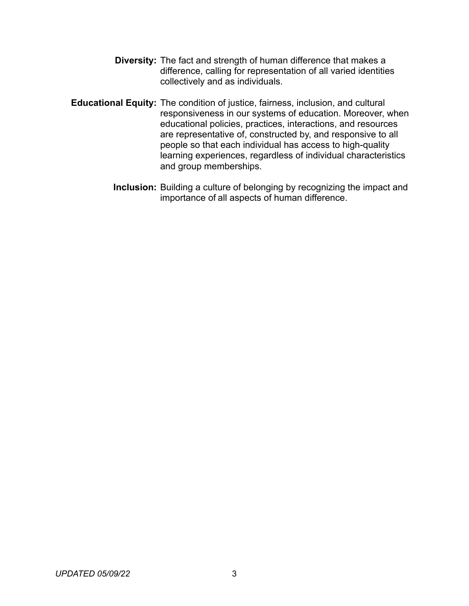- **Diversity:** The fact and strength of human difference that makes a difference, calling for representation of all varied identities collectively and as individuals.
- **Educational Equity:** The condition of justice, fairness, inclusion, and cultural responsiveness in our systems of education. Moreover, when educational policies, practices, interactions, and resources are representative of, constructed by, and responsive to all people so that each individual has access to high-quality learning experiences, regardless of individual characteristics and group memberships.
	- **Inclusion:** Building a culture of belonging by recognizing the impact and importance of all aspects of human difference.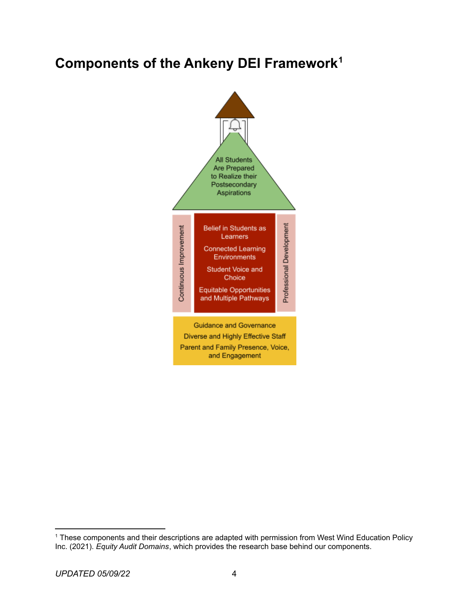# <span id="page-3-0"></span>**Components of the Ankeny DEI Framework<sup>1</sup>**



<sup>&</sup>lt;sup>1</sup> These components and their descriptions are adapted with permission from West Wind Education Policy Inc. (2021). *Equity Audit Domains*, which provides the research base behind our components.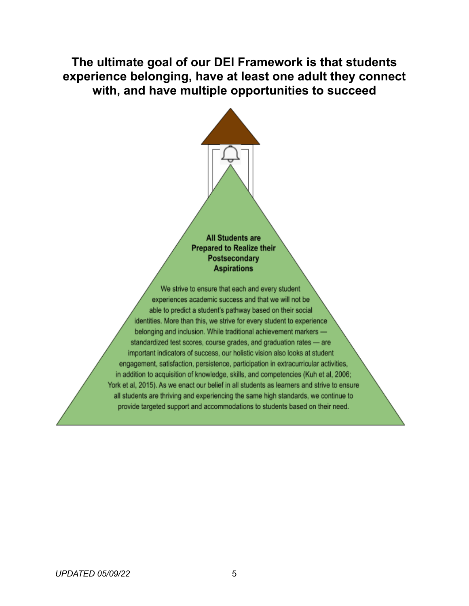**The ultimate goal of our DEI Framework is that students experience belonging, have at least one adult they connect with, and have multiple opportunities to succeed**



**Prepared to Realize their** Postsecondary **Aspirations** 

We strive to ensure that each and every student experiences academic success and that we will not be able to predict a student's pathway based on their social identities. More than this, we strive for every student to experience belonging and inclusion. While traditional achievement markers standardized test scores, course grades, and graduation rates - are important indicators of success, our holistic vision also looks at student engagement, satisfaction, persistence, participation in extracurricular activities, in addition to acquisition of knowledge, skills, and competencies (Kuh et al, 2006; York et al, 2015). As we enact our belief in all students as learners and strive to ensure all students are thriving and experiencing the same high standards, we continue to provide targeted support and accommodations to students based on their need.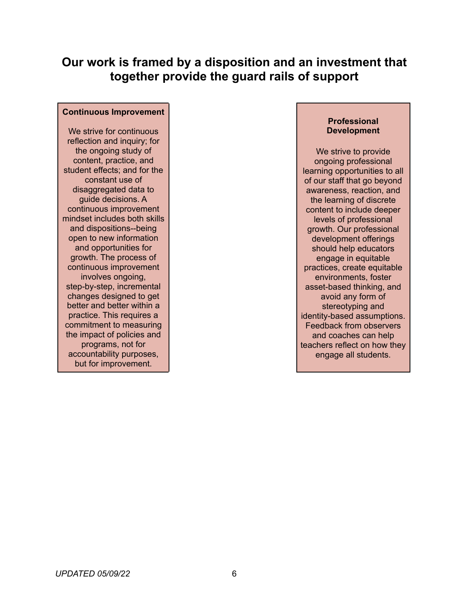### **Our work is framed by a disposition and an investment that together provide the guard rails of support**

#### **Continuous Improvement**

We strive for continuous reflection and inquiry; for the ongoing study of content, practice, and student effects; and for the constant use of disaggregated data to guide decisions. A continuous improvement mindset includes both skills and dispositions--being open to new information and opportunities for growth. The process of continuous improvement involves ongoing, step-by-step, incremental changes designed to get better and better within a practice. This requires a commitment to measuring the impact of policies and programs, not for accountability purposes, but for improvement.

### **Professional Development**

We strive to provide ongoing professional learning opportunities to all of our staff that go beyond awareness, reaction, and the learning of discrete content to include deeper levels of professional growth. Our professional development offerings should help educators engage in equitable practices, create equitable environments, foster asset-based thinking, and avoid any form of stereotyping and identity-based assumptions. Feedback from observers and coaches can help teachers reflect on how they engage all students.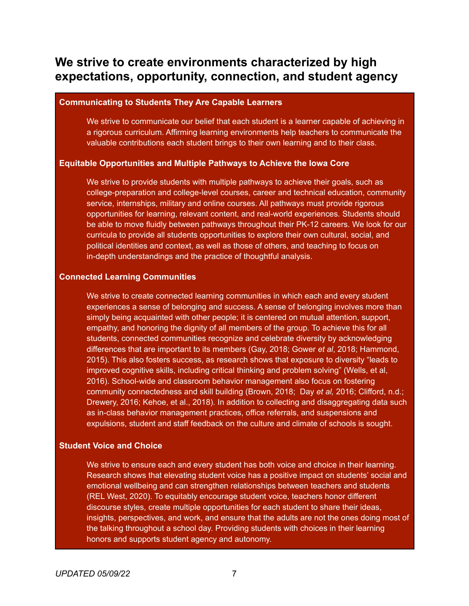### **We strive to create environments characterized by high expectations, opportunity, connection, and student agency**

#### **Communicating to Students They Are Capable Learners**

We strive to communicate our belief that each student is a learner capable of achieving in a rigorous curriculum. Affirming learning environments help teachers to communicate the valuable contributions each student brings to their own learning and to their class.

### **Equitable Opportunities and Multiple Pathways to Achieve the Iowa Core**

We strive to provide students with multiple pathways to achieve their goals, such as college-preparation and college-level courses, career and technical education, community service, internships, military and online courses. All pathways must provide rigorous opportunities for learning, relevant content, and real-world experiences. Students should be able to move fluidly between pathways throughout their PK-12 careers. We look for our curricula to provide all students opportunities to explore their own cultural, social, and political identities and context, as well as those of others, and teaching to focus on in-depth understandings and the practice of thoughtful analysis.

### **Connected Learning Communities**

We strive to create connected learning communities in which each and every student experiences a sense of belonging and success. A sense of belonging involves more than simply being acquainted with other people; it is centered on mutual attention, support, empathy, and honoring the dignity of all members of the group. To achieve this for all students, connected communities recognize and celebrate diversity by acknowledging differences that are important to its members (Gay, 2018; Gower *et al*, 2018; Hammond, 2015). This also fosters success, as research shows that exposure to diversity "leads to improved cognitive skills, including critical thinking and problem solving" (Wells, et al, 2016). School-wide and classroom behavior management also focus on fostering community connectedness and skill building (Brown, 2018; Day *et al,* 2016; Clifford, n.d.; Drewery, 2016; Kehoe, et al., 2018). In addition to collecting and disaggregating data such as in-class behavior management practices, office referrals, and suspensions and expulsions, student and staff feedback on the culture and climate of schools is sought.

### **Student Voice and Choice**

We strive to ensure each and every student has both voice and choice in their learning. Research shows that elevating student voice has a positive impact on students' social and emotional wellbeing and can strengthen relationships between teachers and students (REL West, 2020). To equitably encourage student voice, teachers honor different discourse styles, create multiple opportunities for each student to share their ideas, insights, perspectives, and work, and ensure that the adults are not the ones doing most of the talking throughout a school day. Providing students with choices in their learning honors and supports student agency and autonomy.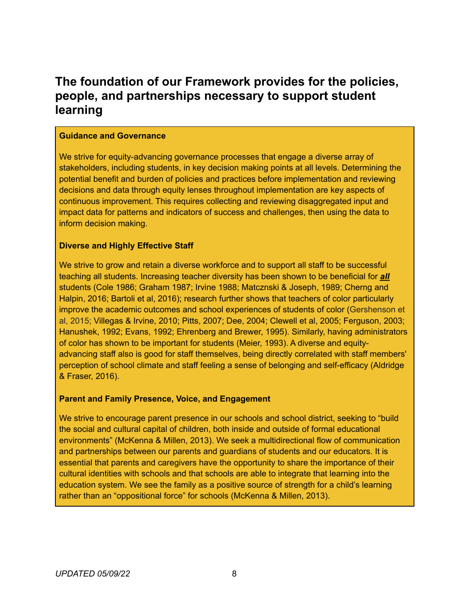### **The foundation of our Framework provides for the policies, people, and partnerships necessary to support student learning**

### **Guidance and Governance**

We strive for equity-advancing governance processes that engage a diverse array of stakeholders, including students, in key decision making points at all levels. Determining the potential benefit and burden of policies and practices before implementation and reviewing decisions and data through equity lenses throughout implementation are key aspects of continuous improvement. This requires collecting and reviewing disaggregated input and impact data for patterns and indicators of success and challenges, then using the data to inform decision making.

### **Diverse and Highly Effective Staff**

We strive to grow and retain a diverse workforce and to support all staff to be successful teaching all students. Increasing teacher diversity has been shown to be beneficial for *all* students (Cole 1986; Graham 1987; Irvine 1988; Matcznski & Joseph, 1989; Cherng and Halpin, 2016; Bartoli et al, 2016); research further shows that teachers of color particularly improve the academic outcomes and school experiences of students of color (Gershenson et al, 2015; Villegas & Irvine, 2010; Pitts, 2007; Dee, 2004; Clewell et al, 2005; Ferguson, 2003; Hanushek, 1992; Evans, 1992; Ehrenberg and Brewer, 1995). Similarly, having administrators of color has shown to be important for students (Meier, 1993). A diverse and equityadvancing staff also is good for staff themselves, being directly correlated with staff members' perception of school climate and staff feeling a sense of belonging and self-efficacy (Aldridge & Fraser, 2016).

#### **Parent and Family Presence, Voice, and Engagement**

We strive to encourage parent presence in our schools and school district, seeking to "build the social and cultural capital of children, both inside and outside of formal educational environments" (McKenna & Millen, 2013). We seek a multidirectional flow of communication and partnerships between our parents and guardians of students and our educators. It is essential that parents and caregivers have the opportunity to share the importance of their cultural identities with schools and that schools are able to integrate that learning into the education system. We see the family as a positive source of strength for a child's learning rather than an "oppositional force" for schools (McKenna & Millen, 2013).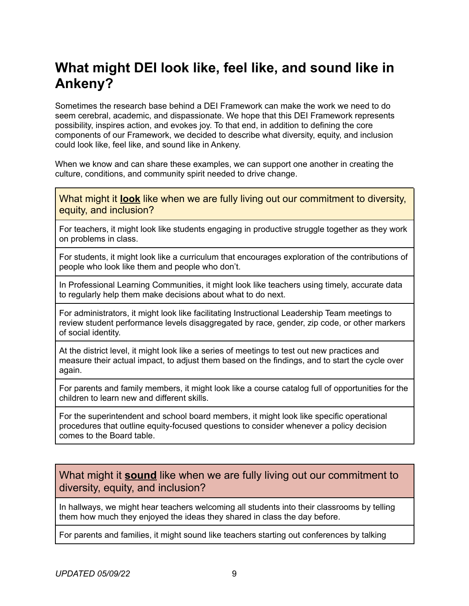# <span id="page-8-0"></span>**What might DEI look like, feel like, and sound like in Ankeny?**

Sometimes the research base behind a DEI Framework can make the work we need to do seem cerebral, academic, and dispassionate. We hope that this DEI Framework represents possibility, inspires action, and evokes joy. To that end, in addition to defining the core components of our Framework, we decided to describe what diversity, equity, and inclusion could look like, feel like, and sound like in Ankeny.

When we know and can share these examples, we can support one another in creating the culture, conditions, and community spirit needed to drive change.

What might it **look** like when we are fully living out our commitment to diversity, equity, and inclusion?

For teachers, it might look like students engaging in productive struggle together as they work on problems in class.

For students, it might look like a curriculum that encourages exploration of the contributions of people who look like them and people who don't.

In Professional Learning Communities, it might look like teachers using timely, accurate data to regularly help them make decisions about what to do next.

For administrators, it might look like facilitating Instructional Leadership Team meetings to review student performance levels disaggregated by race, gender, zip code, or other markers of social identity.

At the district level, it might look like a series of meetings to test out new practices and measure their actual impact, to adjust them based on the findings, and to start the cycle over again.

For parents and family members, it might look like a course catalog full of opportunities for the children to learn new and different skills.

For the superintendent and school board members, it might look like specific operational procedures that outline equity-focused questions to consider whenever a policy decision comes to the Board table.

### What might it **sound** like when we are fully living out our commitment to diversity, equity, and inclusion?

In hallways, we might hear teachers welcoming all students into their classrooms by telling them how much they enjoyed the ideas they shared in class the day before.

For parents and families, it might sound like teachers starting out conferences by talking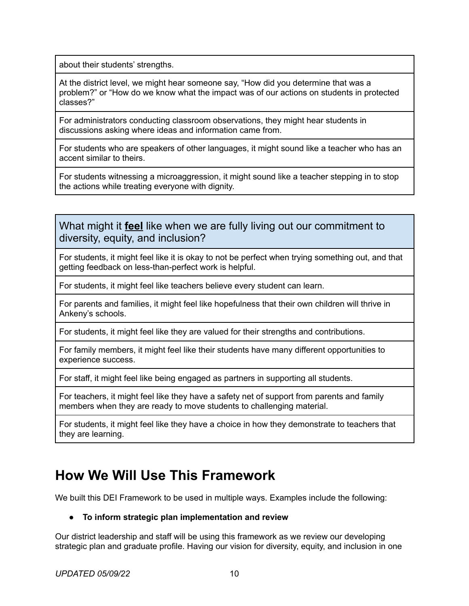about their students' strengths.

At the district level, we might hear someone say, "How did you determine that was a problem?" or "How do we know what the impact was of our actions on students in protected classes?"

For administrators conducting classroom observations, they might hear students in discussions asking where ideas and information came from.

For students who are speakers of other languages, it might sound like a teacher who has an accent similar to theirs.

For students witnessing a microaggression, it might sound like a teacher stepping in to stop the actions while treating everyone with dignity.

What might it **feel** like when we are fully living out our commitment to diversity, equity, and inclusion?

For students, it might feel like it is okay to not be perfect when trying something out, and that getting feedback on less-than-perfect work is helpful.

For students, it might feel like teachers believe every student can learn.

For parents and families, it might feel like hopefulness that their own children will thrive in Ankeny's schools.

For students, it might feel like they are valued for their strengths and contributions.

For family members, it might feel like their students have many different opportunities to experience success.

For staff, it might feel like being engaged as partners in supporting all students.

For teachers, it might feel like they have a safety net of support from parents and family members when they are ready to move students to challenging material.

For students, it might feel like they have a choice in how they demonstrate to teachers that they are learning.

# <span id="page-9-0"></span>**How We Will Use This Framework**

We built this DEI Framework to be used in multiple ways. Examples include the following:

### **● To inform strategic plan implementation and review**

Our district leadership and staff will be using this framework as we review our developing strategic plan and graduate profile. Having our vision for diversity, equity, and inclusion in one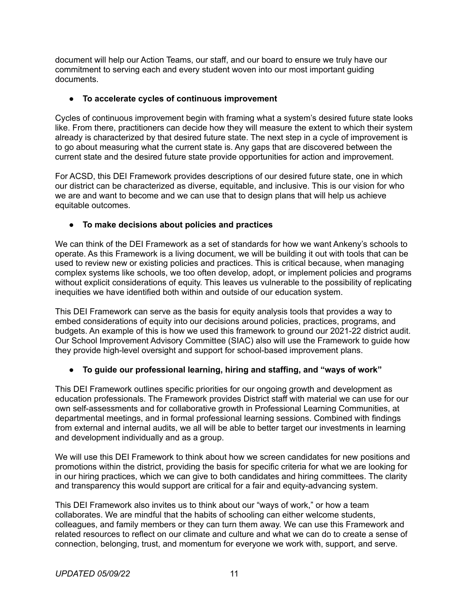document will help our Action Teams, our staff, and our board to ensure we truly have our commitment to serving each and every student woven into our most important guiding documents.

### **● To accelerate cycles of continuous improvement**

Cycles of continuous improvement begin with framing what a system's desired future state looks like. From there, practitioners can decide how they will measure the extent to which their system already is characterized by that desired future state. The next step in a cycle of improvement is to go about measuring what the current state is. Any gaps that are discovered between the current state and the desired future state provide opportunities for action and improvement.

For ACSD, this DEI Framework provides descriptions of our desired future state, one in which our district can be characterized as diverse, equitable, and inclusive. This is our vision for who we are and want to become and we can use that to design plans that will help us achieve equitable outcomes.

### **● To make decisions about policies and practices**

We can think of the DEI Framework as a set of standards for how we want Ankeny's schools to operate. As this Framework is a living document, we will be building it out with tools that can be used to review new or existing policies and practices. This is critical because, when managing complex systems like schools, we too often develop, adopt, or implement policies and programs without explicit considerations of equity. This leaves us vulnerable to the possibility of replicating inequities we have identified both within and outside of our education system.

This DEI Framework can serve as the basis for equity analysis tools that provides a way to embed considerations of equity into our decisions around policies, practices, programs, and budgets. An example of this is how we used this framework to ground our 2021-22 district audit. Our School Improvement Advisory Committee (SIAC) also will use the Framework to guide how they provide high-level oversight and support for school-based improvement plans.

### **● To guide our professional learning, hiring and staffing, and "ways of work"**

This DEI Framework outlines specific priorities for our ongoing growth and development as education professionals. The Framework provides District staff with material we can use for our own self-assessments and for collaborative growth in Professional Learning Communities, at departmental meetings, and in formal professional learning sessions. Combined with findings from external and internal audits, we all will be able to better target our investments in learning and development individually and as a group.

We will use this DEI Framework to think about how we screen candidates for new positions and promotions within the district, providing the basis for specific criteria for what we are looking for in our hiring practices, which we can give to both candidates and hiring committees. The clarity and transparency this would support are critical for a fair and equity-advancing system.

This DEI Framework also invites us to think about our "ways of work," or how a team collaborates. We are mindful that the habits of schooling can either welcome students, colleagues, and family members or they can turn them away. We can use this Framework and related resources to reflect on our climate and culture and what we can do to create a sense of connection, belonging, trust, and momentum for everyone we work with, support, and serve.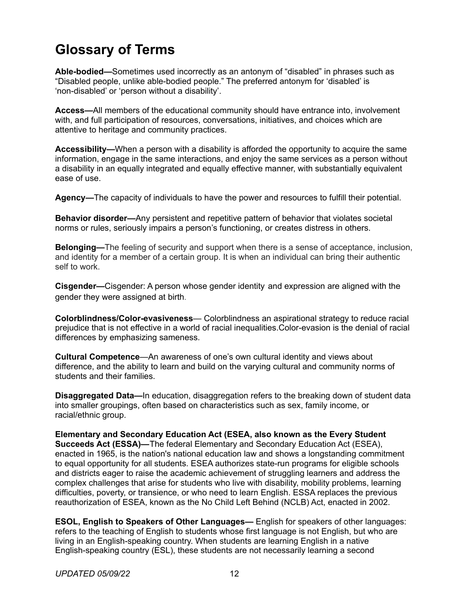# **Glossary of Terms**

**Able-bodied—**Sometimes used incorrectly as an antonym of "disabled" in phrases such as "Disabled people, unlike able-bodied people." The preferred antonym for 'disabled' is 'non-disabled' or 'person without a disability'.

**Access—**All members of the educational community should have entrance into, involvement with, and full participation of resources, conversations, initiatives, and choices which are attentive to heritage and community practices.

**Accessibility—**When a person with a disability is afforded the opportunity to acquire the same information, engage in the same interactions, and enjoy the same services as a person without a disability in an equally integrated and equally effective manner, with substantially equivalent ease of use.

**Agency—**The capacity of individuals to have the power and resources to fulfill their potential.

**Behavior disorder—**Any persistent and repetitive pattern of behavior that violates societal norms or rules, seriously impairs a person's functioning, or creates distress in others.

**Belonging—**The feeling of security and support when there is a sense of acceptance, inclusion, and identity for a member of a certain group. It is when an individual can bring their authentic self to work.

**Cisgender—**Cisgender: A person whose gender identity and expression are aligned with the gender they were assigned at birth.

**Colorblindness/Color-evasiveness**— Colorblindness an aspirational strategy to reduce racial prejudice that is not effective in a world of racial inequalities.Color-evasion is the denial of racial differences by emphasizing sameness.

**Cultural Competence**—An awareness of one's own cultural identity and views about difference, and the ability to learn and build on the varying cultural and community norms of students and their families.

**Disaggregated Data—**In education, disaggregation refers to the breaking down of student data into smaller groupings, often based on characteristics such as sex, family income, or racial/ethnic group.

**Elementary and Secondary Education Act (ESEA, also known as the Every Student Succeeds Act (ESSA)—**The federal Elementary and Secondary Education Act (ESEA), enacted in 1965, is the nation's national education law and shows a longstanding commitment to equal opportunity for all students. ESEA authorizes state-run programs for eligible schools and districts eager to raise the academic achievement of struggling learners and address the complex challenges that arise for students who live with disability, mobility problems, learning difficulties, poverty, or transience, or who need to learn English. ESSA replaces the previous reauthorization of ESEA, known as the No Child Left Behind (NCLB) Act, enacted in 2002.

**ESOL, English to Speakers of Other Languages—** English for speakers of other languages: refers to the teaching of English to students whose first language is not English, but who are living in an English-speaking country. When students are learning English in a native English-speaking country (ESL), these students are not necessarily learning a second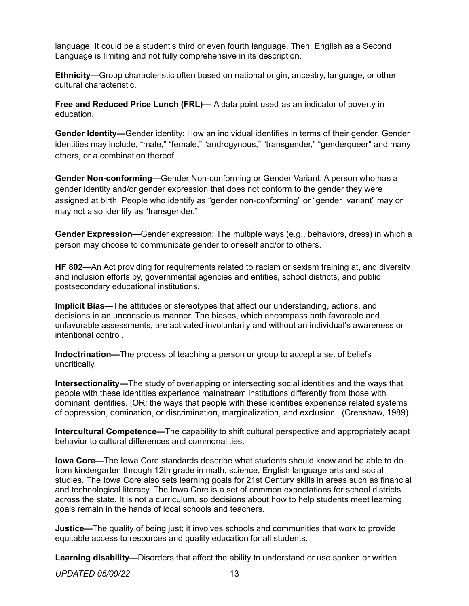language. It could be a student's third or even fourth language. Then, English as a Second Language is limiting and not fully comprehensive in its description.

**Ethnicity—**Group characteristic often based on national origin, ancestry, language, or other cultural characteristic.

**Free and Reduced Price Lunch (FRL)—** A data point used as an indicator of poverty in education.

**Gender Identity—**Gender identity: How an individual identifies in terms of their gender. Gender identities may include, "male," "female," "androgynous," "transgender," "genderqueer" and many others, or a combination thereof.

**Gender Non-conforming—**Gender Non-conforming or Gender Variant: A person who has a gender identity and/or gender expression that does not conform to the gender they were assigned at birth. People who identify as "gender non-conforming" or "gender variant" may or may not also identify as "transgender."

**Gender Expression—**Gender expression: The multiple ways (e.g., behaviors, dress) in which a person may choose to communicate gender to oneself and/or to others.

**HF 802—**An Act providing for requirements related to racism or sexism training at, and diversity and inclusion efforts by, governmental agencies and entities, school districts, and public postsecondary educational institutions.

**Implicit Bias—**The attitudes or stereotypes that affect our understanding, actions, and decisions in an unconscious manner. The biases, which encompass both favorable and unfavorable assessments, are activated involuntarily and without an individual's awareness or intentional control.

**Indoctrination—**The process of teaching a person or group to accept a set of beliefs uncritically.

**Intersectionality—**The study of overlapping or intersecting social identities and the ways that people with these identities experience mainstream institutions differently from those with dominant identities. [OR: the ways that people with these identities experience related systems of oppression, domination, or discrimination, marginalization, and exclusion. (Crenshaw, 1989).

**Intercultural Competence—**The capability to shift cultural perspective and appropriately adapt behavior to cultural differences and commonalities.

**Iowa Core—**The Iowa Core standards describe what students should know and be able to do from kindergarten through 12th grade in math, science, English language arts and social studies. The Iowa Core also sets learning goals for 21st Century skills in areas such as financial and technological literacy. The Iowa Core is a set of common expectations for school districts across the state. It is not a curriculum, so decisions about how to help students meet learning goals remain in the hands of local schools and teachers.

**Justice—**The quality of being just; it involves schools and communities that work to provide equitable access to resources and quality education for all students.

**Learning disability—**Disorders that affect the ability to understand or use spoken or written

*UPDATED 05/09/22* 13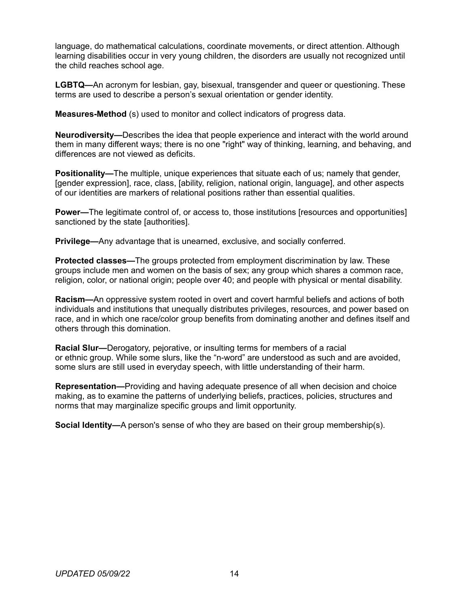language, do mathematical calculations, coordinate movements, or direct attention. Although learning disabilities occur in very young children, the disorders are usually not recognized until the child reaches school age.

**LGBTQ—**An acronym for lesbian, gay, bisexual, transgender and queer or questioning. These terms are used to describe a person's sexual orientation or gender identity.

**Measures-Method** (s) used to monitor and collect indicators of progress data.

**Neurodiversity—**Describes the idea that people experience and interact with the world around them in many different ways; there is no one "right" way of thinking, learning, and behaving, and differences are not viewed as deficits.

**Positionality—**The multiple, unique experiences that situate each of us; namely that gender, [gender expression], race, class, [ability, religion, national origin, language], and other aspects of our identities are markers of relational positions rather than essential qualities.

**Power—**The legitimate control of, or access to, those institutions [resources and opportunities] sanctioned by the state [authorities].

**Privilege—**Any advantage that is unearned, exclusive, and socially conferred.

**Protected classes—**The groups protected from employment discrimination by law. These groups include men and women on the basis of sex; any group which shares a common race, religion, color, or national origin; people over 40; and people with physical or mental disability.

**Racism—**An oppressive system rooted in overt and covert harmful beliefs and actions of both individuals and institutions that unequally distributes privileges, resources, and power based on race, and in which one race/color group benefits from dominating another and defines itself and others through this domination.

**Racial Slur—**Derogatory, pejorative, or insulting terms for members of a racial or ethnic group. While some slurs, like the "n-word" are understood as such and are avoided, some slurs are still used in everyday speech, with little understanding of their harm.

**Representation—**Providing and having adequate presence of all when decision and choice making, as to examine the patterns of underlying beliefs, practices, policies, structures and norms that may marginalize specific groups and limit opportunity.

**Social Identity—**A person's sense of who they are based on their group membership(s).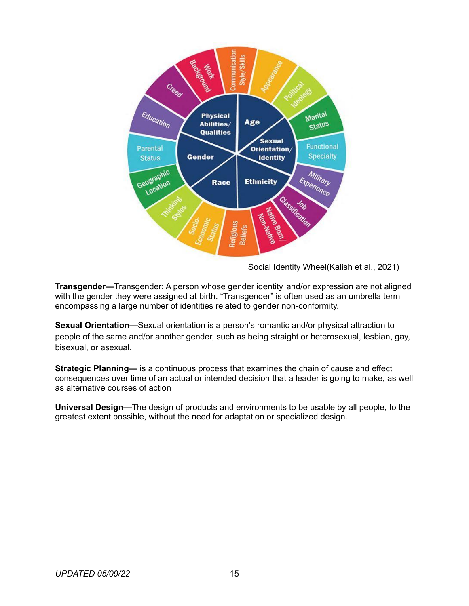

Social Identity Wheel(Kalish et al., 2021)

**Transgender—**Transgender: A person whose gender identity and/or expression are not aligned with the gender they were assigned at birth. "Transgender" is often used as an umbrella term encompassing a large number of identities related to gender non-conformity.

**Sexual Orientation—**Sexual orientation is a person's romantic and/or physical attraction to people of the same and/or another gender, such as being straight or heterosexual, lesbian, gay, bisexual, or asexual.

**Strategic Planning—** is a continuous process that examines the chain of cause and effect consequences over time of an actual or intended decision that a leader is going to make, as well as alternative courses of action

**Universal Design—**The design of products and environments to be usable by all people, to the greatest extent possible, without the need for adaptation or specialized design.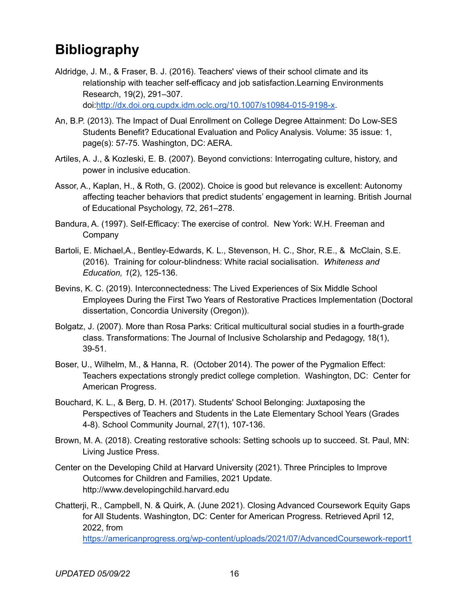# **Bibliography**

Aldridge, J. M., & Fraser, B. J. (2016). Teachers' views of their school climate and its relationship with teacher self-efficacy and job satisfaction.Learning Environments Research, 19(2), 291–307.

doi:<http://dx.doi.org.cupdx.idm.oclc.org/10.1007/s10984-015-9198-x>.

- An, B.P. (2013). The Impact of Dual Enrollment on College Degree Attainment: Do Low-SES Students Benefit? Educational Evaluation and Policy Analysis. Volume: 35 issue: 1, page(s): 57-75. Washington, DC: AERA.
- Artiles, A. J., & Kozleski, E. B. (2007). Beyond convictions: Interrogating culture, history, and power in inclusive education.
- Assor, A., Kaplan, H., & Roth, G. (2002). Choice is good but relevance is excellent: Autonomy affecting teacher behaviors that predict students' engagement in learning. British Journal of Educational Psychology, 72, 261–278.
- Bandura, A. (1997). Self-Efficacy: The exercise of control. New York: W.H. Freeman and Company
- Bartoli, E. Michael,A., Bentley-Edwards, K. L., Stevenson, H. C., Shor, R.E., & McClain, S.E. (2016). Training for colour-blindness: White racial socialisation. *Whiteness and Education, 1*(2), 125-136.
- Bevins, K. C. (2019). Interconnectedness: The Lived Experiences of Six Middle School Employees During the First Two Years of Restorative Practices Implementation (Doctoral dissertation, Concordia University (Oregon)).
- Bolgatz, J. (2007). More than Rosa Parks: Critical multicultural social studies in a fourth-grade class. Transformations: The Journal of Inclusive Scholarship and Pedagogy, 18(1), 39-51.
- Boser, U., Wilhelm, M., & Hanna, R. (October 2014). The power of the Pygmalion Effect: Teachers expectations strongly predict college completion. Washington, DC: Center for American Progress.
- Bouchard, K. L., & Berg, D. H. (2017). Students' School Belonging: Juxtaposing the Perspectives of Teachers and Students in the Late Elementary School Years (Grades 4-8). School Community Journal, 27(1), 107-136.
- Brown, M. A. (2018). Creating restorative schools: Setting schools up to succeed. St. Paul, MN: Living Justice Press.
- Center on the Developing Child at Harvard University (2021). Three Principles to Improve Outcomes for Children and Families, 2021 Update. http://www.developingchild.harvard.edu
- Chatterji, R., Campbell, N. & Quirk, A. (June 2021). Closing Advanced Coursework Equity Gaps for All Students. Washington, DC: Center for American Progress. Retrieved April 12, 2022, from <https://americanprogress.org/wp-content/uploads/2021/07/AdvancedCoursework-report1>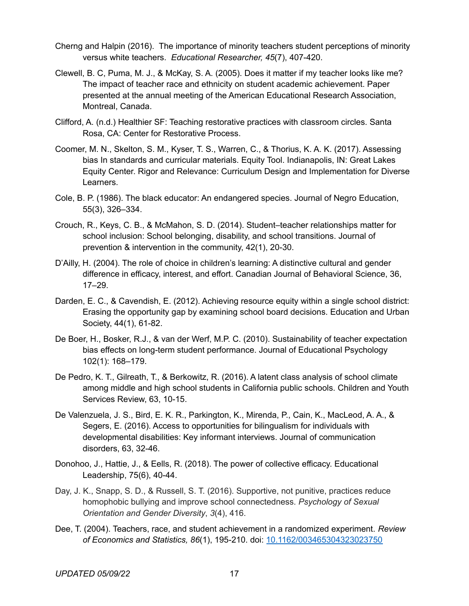- Cherng and Halpin (2016). The importance of minority teachers student perceptions of minority versus white teachers. *Educational Researcher, 45*(7), 407-420.
- Clewell, B. C, Puma, M. J., & McKay, S. A. (2005). Does it matter if my teacher looks like me? The impact of teacher race and ethnicity on student academic achievement. Paper presented at the annual meeting of the American Educational Research Association, Montreal, Canada.
- Clifford, A. (n.d.) Healthier SF: Teaching restorative practices with classroom circles. Santa Rosa, CA: Center for Restorative Process.
- Coomer, M. N., Skelton, S. M., Kyser, T. S., Warren, C., & Thorius, K. A. K. (2017). Assessing bias In standards and curricular materials. Equity Tool. Indianapolis, IN: Great Lakes Equity Center. Rigor and Relevance: Curriculum Design and Implementation for Diverse Learners.
- Cole, B. P. (1986). The black educator: An endangered species. Journal of Negro Education, 55(3), 326–334.
- Crouch, R., Keys, C. B., & McMahon, S. D. (2014). Student–teacher relationships matter for school inclusion: School belonging, disability, and school transitions. Journal of prevention & intervention in the community, 42(1), 20-30.
- D'Ailly, H. (2004). The role of choice in children's learning: A distinctive cultural and gender difference in efficacy, interest, and effort. Canadian Journal of Behavioral Science, 36, 17–29.
- Darden, E. C., & Cavendish, E. (2012). Achieving resource equity within a single school district: Erasing the opportunity gap by examining school board decisions. Education and Urban Society, 44(1), 61-82.
- De Boer, H., Bosker, R.J., & van der Werf, M.P. C. (2010). Sustainability of teacher expectation bias effects on long-term student performance. Journal of Educational Psychology 102(1): 168–179.
- De Pedro, K. T., Gilreath, T., & Berkowitz, R. (2016). A latent class analysis of school climate among middle and high school students in California public schools. Children and Youth Services Review, 63, 10-15.
- De Valenzuela, J. S., Bird, E. K. R., Parkington, K., Mirenda, P., Cain, K., MacLeod, A. A., & Segers, E. (2016). Access to opportunities for bilingualism for individuals with developmental disabilities: Key informant interviews. Journal of communication disorders, 63, 32-46.
- Donohoo, J., Hattie, J., & Eells, R. (2018). The power of collective efficacy. Educational Leadership, 75(6), 40-44.
- Day, J. K., Snapp, S. D., & Russell, S. T. (2016). Supportive, not punitive, practices reduce homophobic bullying and improve school connectedness. *Psychology of Sexual Orientation and Gender Diversity*, *3*(4), 416.
- Dee, T. (2004). Teachers, race, and student achievement in a randomized experiment. *Review of Economics and Statistics, 86*(1), 195-210. doi: [10.1162/003465304323023750](http://dx.doi.org/10.1162/003465304323023750)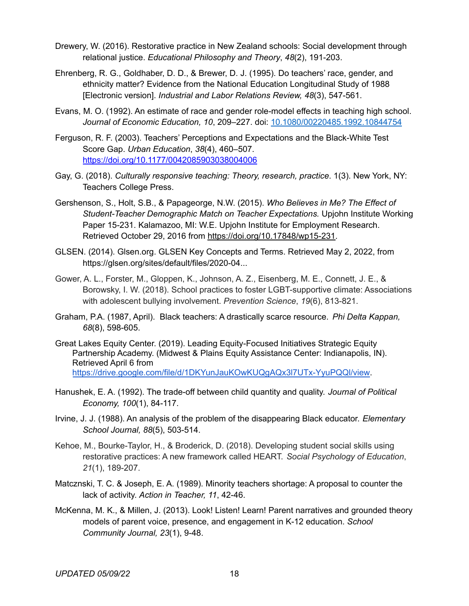- Drewery, W. (2016). Restorative practice in New Zealand schools: Social development through relational justice. *Educational Philosophy and Theory*, *48*(2), 191-203.
- Ehrenberg, R. G., Goldhaber, D. D., & Brewer, D. J. (1995). Do teachers' race, gender, and ethnicity matter? Evidence from the National Education Longitudinal Study of 1988 [Electronic version]. *Industrial and Labor Relations Review, 48*(3), 547-561.
- Evans, M. O. (1992). An estimate of race and gender role-model effects in teaching high school. *Journal of Economic Education, 10*, 209–227. doi: [10.1080/00220485.1992.10844754](http://dx.doi.org/10.1080/00220485.1992.10844754)
- Ferguson, R. F. (2003). Teachers' Perceptions and Expectations and the Black-White Test Score Gap. *Urban Education*, *38*(4), 460–507. <https://doi.org/10.1177/0042085903038004006>
- Gay, G. (2018). *Culturally responsive teaching: Theory, research, practice*. 1(3). New York, NY: Teachers College Press.
- Gershenson, S., Holt, S.B., & Papageorge, N.W. (2015). *Who Believes in Me? The Effect of Student-Teacher Demographic Match on Teacher Expectations.* Upjohn Institute Working Paper 15-231. Kalamazoo, MI: W.E. Upjohn Institute for Employment Research. Retrieved October 29, 2016 from [https://doi.org/10.17848/wp15-231.](https://doi.org/10.17848/wp15-231)
- GLSEN. (2014). Glsen.org. GLSEN Key Concepts and Terms. Retrieved May 2, 2022, from https://glsen.org/sites/default/files/2020-04...
- Gower, A. L., Forster, M., Gloppen, K., Johnson, A. Z., Eisenberg, M. E., Connett, J. E., & Borowsky, I. W. (2018). School practices to foster LGBT-supportive climate: Associations with adolescent bullying involvement. *Prevention Science*, *19*(6), 813-821.
- Graham, P.A. (1987, April). Black teachers: A drastically scarce resource. *Phi Delta Kappan, 68*(8), 598-605.
- Great Lakes Equity Center. (2019). Leading Equity-Focused Initiatives Strategic Equity Partnership Academy. (Midwest & Plains Equity Assistance Center: Indianapolis, IN). Retrieved April 6 from <https://drive.google.com/file/d/1DKYunJauKOwKUQgAQx3l7UTx-YyuPQQl/view>.
- Hanushek, E. A. (1992). The trade-off between child quantity and quality. *Journal of Political Economy, 100*(1), 84-117.
- Irvine, J. J. (1988). An analysis of the problem of the disappearing Black educator. *Elementary School Journal, 88*(5), 503-514.
- Kehoe, M., Bourke-Taylor, H., & Broderick, D. (2018). Developing student social skills using restorative practices: A new framework called HEART. *Social Psychology of Education*, *21*(1), 189-207.
- Matcznski, T. C. & Joseph, E. A. (1989). Minority teachers shortage: A proposal to counter the lack of activity. *Action in Teacher, 11*, 42-46.
- McKenna, M. K., & Millen, J. (2013). Look! Listen! Learn! Parent narratives and grounded theory models of parent voice, presence, and engagement in K-12 education. *School Community Journal, 23*(1), 9-48.